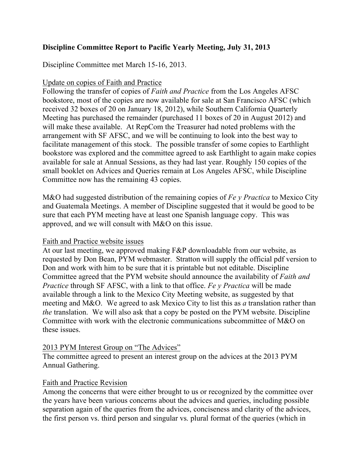# **Discipline Committee Report to Pacific Yearly Meeting, July 31, 2013**

Discipline Committee met March 15-16, 2013.

## Update on copies of Faith and Practice

Following the transfer of copies of *Faith and Practice* from the Los Angeles AFSC bookstore, most of the copies are now available for sale at San Francisco AFSC (which received 32 boxes of 20 on January 18, 2012), while Southern California Quarterly Meeting has purchased the remainder (purchased 11 boxes of 20 in August 2012) and will make these available. At RepCom the Treasurer had noted problems with the arrangement with SF AFSC, and we will be continuing to look into the best way to facilitate management of this stock. The possible transfer of some copies to Earthlight bookstore was explored and the committee agreed to ask Earthlight to again make copies available for sale at Annual Sessions, as they had last year. Roughly 150 copies of the small booklet on Advices and Queries remain at Los Angeles AFSC, while Discipline Committee now has the remaining 43 copies.

M&O had suggested distribution of the remaining copies of *Fe y Practica* to Mexico City and Guatemala Meetings. A member of Discipline suggested that it would be good to be sure that each PYM meeting have at least one Spanish language copy. This was approved, and we will consult with M&O on this issue.

## Faith and Practice website issues

At our last meeting, we approved making F&P downloadable from our website, as requested by Don Bean, PYM webmaster. Stratton will supply the official pdf version to Don and work with him to be sure that it is printable but not editable. Discipline Committee agreed that the PYM website should announce the availability of *Faith and Practice* through SF AFSC, with a link to that office. *Fe y Practica* will be made available through a link to the Mexico City Meeting website, as suggested by that meeting and M&O. We agreed to ask Mexico City to list this as *a* translation rather than *the* translation. We will also ask that a copy be posted on the PYM website. Discipline Committee with work with the electronic communications subcommittee of M&O on these issues.

## 2013 PYM Interest Group on "The Advices"

The committee agreed to present an interest group on the advices at the 2013 PYM Annual Gathering.

## Faith and Practice Revision

Among the concerns that were either brought to us or recognized by the committee over the years have been various concerns about the advices and queries, including possible separation again of the queries from the advices, conciseness and clarity of the advices, the first person vs. third person and singular vs. plural format of the queries (which in